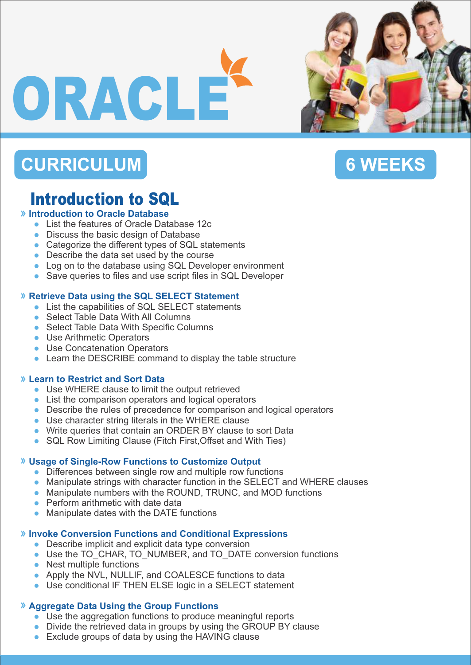# ORACLE

# **CURRICULUM**





# Introduction to SQL

### **Introduction to Oracle Database**

- List the features of Oracle Database 12c
- Discuss the basic design of Database
- Categorize the different types of SQL statements
- Describe the data set used by the course
- Log on to the database using SQL Developer environment
- Save queries to files and use script files in SQL Developer

### **Retrieve Data using the SQL SELECT Statement**

- List the capabilities of SQL SELECT statements
- Select Table Data With All Columns
- Select Table Data With Specific Columns
- **Use Arithmetic Operators**
- **Use Concatenation Operators**
- Learn the DESCRIBE command to display the table structure

### **Learn to Restrict and Sort Data**

- Use WHERE clause to limit the output retrieved
- List the comparison operators and logical operators
- Describe the rules of precedence for comparison and logical operators
- Use character string literals in the WHERE clause
- Write queries that contain an ORDER BY clause to sort Data
- SQL Row Limiting Clause (Fitch First, Offset and With Ties)

### **Usage of Single-Row Functions to Customize Output**

- Differences between single row and multiple row functions
- Manipulate strings with character function in the SELECT and WHERE clauses
- Manipulate numbers with the ROUND, TRUNC, and MOD functions
- Perform arithmetic with date data
- Manipulate dates with the DATE functions

### **Invoke Conversion Functions and Conditional Expressions**

- Describe implicit and explicit data type conversion
- Use the TO\_CHAR, TO\_NUMBER, and TO\_DATE conversion functions
- Nest multiple functions
- Apply the NVL, NULLIF, and COALESCE functions to data
- Use conditional IF THEN ELSE logic in a SELECT statement

### **Aggregate Data Using the Group Functions**

- Use the aggregation functions to produce meaningful reports
- Divide the retrieved data in groups by using the GROUP BY clause
- Exclude groups of data by using the HAVING clause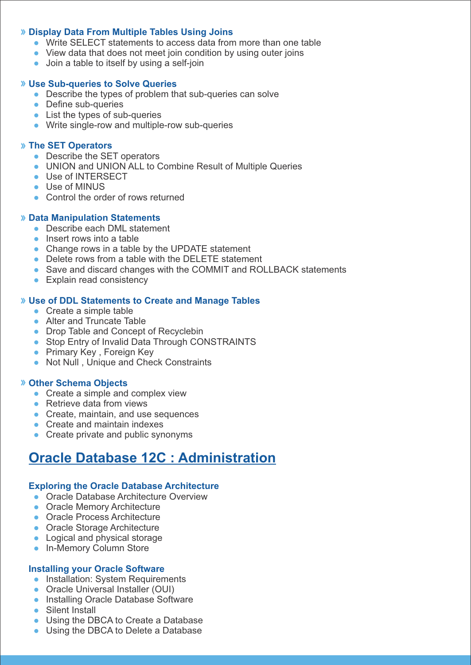### **Display Data From Multiple Tables Using Joins**

- Write SELECT statements to access data from more than one table
- View data that does not meet join condition by using outer joins
- Join a table to itself by using a self-join

### **Use Sub-queries to Solve Queries**

- Describe the types of problem that sub-queries can solve
- Define sub-queries
- List the types of sub-queries
- Write single-row and multiple-row sub-queries

### **The SET Operators**

- Describe the SET operators
- UNION and UNION ALL to Combine Result of Multiple Queries
- Use of INTERSECT
- Use of MINUS
- Control the order of rows returned

### **Data Manipulation Statements**

- Describe each DML statement
- $\bullet$  Insert rows into a table
- Change rows in a table by the UPDATE statement
- Delete rows from a table with the DELETE statement
- Save and discard changes with the COMMIT and ROLLBACK statements
- Explain read consistency

### **Use of DDL Statements to Create and Manage Tables**

- Create a simple table
- Alter and Truncate Table
- Drop Table and Concept of Recyclebin
- Stop Entry of Invalid Data Through CONSTRAINTS
- **Primary Key, Foreign Key**
- Not Null, Unique and Check Constraints

### **Other Schema Objects**

- Create a simple and complex view
- Retrieve data from views
- Create, maintain, and use sequences
- Create and maintain indexes
- Create private and public synonyms

# **Oracle Database 12C : Administration**

#### **Exploring the Oracle Database Architecture**

- **Oracle Database Architecture Overview**
- **Oracle Memory Architecture**
- **Oracle Process Architecture**
- **Oracle Storage Architecture**
- Logical and physical storage
- **In-Memory Column Store**

### **Installing your Oracle Software**

- Installation: System Requirements
- Oracle Universal Installer (OUI)
- **Installing Oracle Database Software**
- Silent Install
- **Using the DBCA to Create a Database**
- Using the DBCA to Delete a Database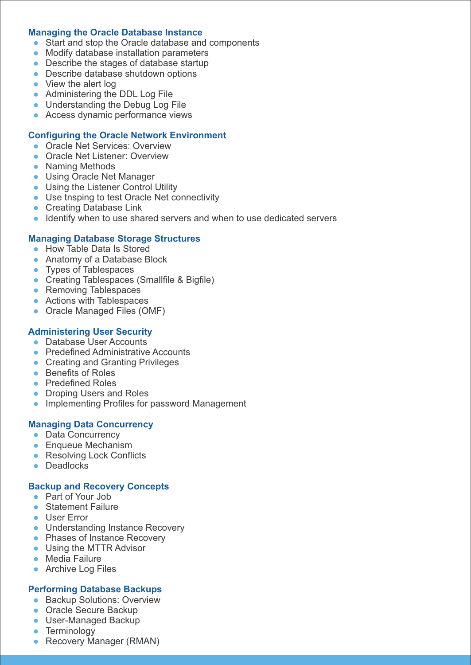### **Managing the Oracle Database Instance**

- Start and stop the Oracle database and components
- Modify database installation parameters
- Describe the stages of database startup
- Describe database shutdown options
- View the alert log
- Administering the DDL Log File
- Understanding the Debug Log File
- Access dynamic performance views

### **Configuring the Oracle Network Environment**

- **Oracle Net Services: Overview**
- **Oracle Net Listener: Overview**
- Naming Methods
- Using Oracle Net Manager
- **Using the Listener Control Utility**
- Use tnsping to test Oracle Net connectivity
- **Creating Database Link**
- Identify when to use shared servers and when to use dedicated servers

### **Managing Database Storage Structures**

- How Table Data Is Stored
- Anatomy of a Database Block
- Types of Tablespaces
- Creating Tablespaces (Smallfile & Bigfile)
- Removing Tablespaces
- Actions with Tablespaces
- Oracle Managed Files (OMF)

### **Administering User Security**

- **Database User Accounts**
- Predefined Administrative Accounts
- Creating and Granting Privileges
- Benefits of Roles
- **•** Predefined Roles
- Droping Users and Roles
- **Implementing Profiles for password Management**

### **Managing Data Concurrency**

- Data Concurrency
- Enqueue Mechanism
- Resolving Lock Conflicts
- **Deadlocks**

### **Backup and Recovery Concepts**

- Part of Your Job
- Statement Failure
- User Error
- Understanding Instance Recovery
- Phases of Instance Recovery
- Using the MTTR Advisor
- **Media Failure**
- Archive Log Files

### **Performing Database Backups**

- **Backup Solutions: Overview**
- Oracle Secure Backup
- **User-Managed Backup**
- Terminology
- Recovery Manager (RMAN)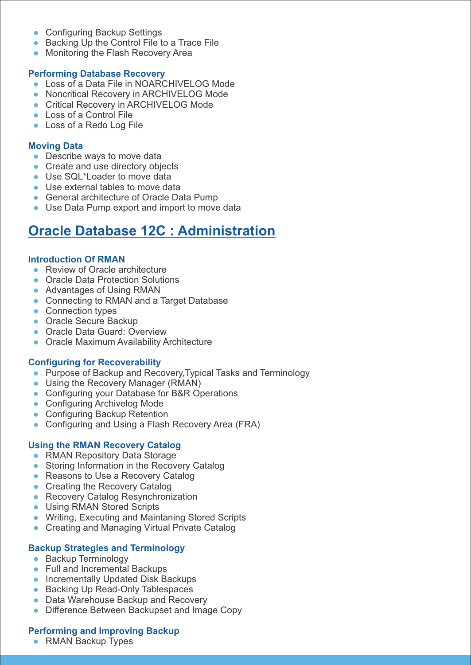- Configuring Backup Settings
- Backing Up the Control File to a Trace File
- Monitoring the Flash Recovery Area

#### **Performing Database Recovery**

- Loss of a Data File in NOARCHIVELOG Mode
- **Noncritical Recovery in ARCHIVELOG Mode**
- **Critical Recovery in ARCHIVELOG Mode**
- Loss of a Control File
- **Loss of a Redo Log File**

### **Moving Data**

- Describe ways to move data
- Create and use directory objects
- Use SQL\*Loader to move data
- Use external tables to move data
- **General architecture of Oracle Data Pump**
- **Use Data Pump export and import to move data**

# **Oracle Database 12C : Administration**

### **Introduction Of RMAN**

- Review of Oracle architecture
- **Oracle Data Protection Solutions**
- Advantages of Using RMAN
- Connecting to RMAN and a Target Database
- Connection types
- Oracle Secure Backup
- **Oracle Data Guard: Overview**
- **Oracle Maximum Availability Architecture**

### **Configuring for Recoverability**

- Purpose of Backup and Recovery, Typical Tasks and Terminology
- Using the Recovery Manager (RMAN)
- Configuring your Database for B&R Operations
- Configuring Archivelog Mode
- Configuring Backup Retention
- Configuring and Using a Flash Recovery Area (FRA)

### **Using the RMAN Recovery Catalog**

- RMAN Repository Data Storage
- Storing Information in the Recovery Catalog
- Reasons to Use a Recovery Catalog
- Creating the Recovery Catalog
- Recovery Catalog Resynchronization
- **Using RMAN Stored Scripts**
- **Writing, Executing and Maintaning Stored Scripts**
- Creating and Managing Virtual Private Catalog

### **Backup Strategies and Terminology**

- Backup Terminology
- Full and Incremental Backups
- **Incrementally Updated Disk Backups**
- Backing Up Read-Only Tablespaces
- Data Warehouse Backup and Recovery
- **Difference Between Backupset and Image Copy**

### **Performing and Improving Backup**

• RMAN Backup Types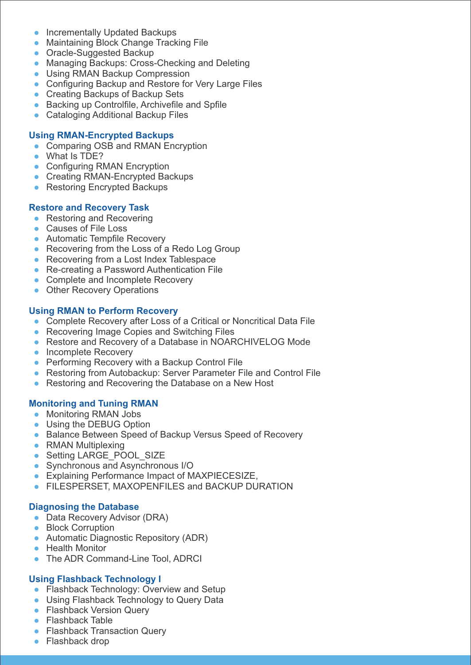- **Incrementally Updated Backups**
- **Maintaining Block Change Tracking File**
- **Oracle-Suggested Backup**
- Managing Backups: Cross-Checking and Deleting
- **Using RMAN Backup Compression**
- **Configuring Backup and Restore for Very Large Files**
- Creating Backups of Backup Sets
- **Backing up Controlfile, Archivefile and Spfile**
- Cataloging Additional Backup Files

### **Using RMAN-Encrypted Backups**

- Comparing OSB and RMAN Encryption
- What Is TDE?
- Configuring RMAN Encryption
- Creating RMAN-Encrypted Backups
- Restoring Encrypted Backups

### **Restore and Recovery Task**

- Restoring and Recovering
- Causes of File Loss
- **Automatic Tempfile Recovery**
- Recovering from the Loss of a Redo Log Group
- Recovering from a Lost Index Tablespace
- Re-creating a Password Authentication File
- Complete and Incomplete Recovery
- Other Recovery Operations

### **Using RMAN to Perform Recovery**

- Complete Recovery after Loss of a Critical or Noncritical Data File
- Recovering Image Copies and Switching Files
- Restore and Recovery of a Database in NOARCHIVELOG Mode
- Incomplete Recovery
- **Performing Recovery with a Backup Control File**
- Restoring from Autobackup: Server Parameter File and Control File
- Restoring and Recovering the Database on a New Host

### **Monitoring and Tuning RMAN**

- Monitoring RMAN Jobs
- Using the DEBUG Option
- **Balance Between Speed of Backup Versus Speed of Recovery**
- RMAN Multiplexing
- Setting LARGE\_POOL\_SIZE
- Synchronous and Asynchronous I/O
- **Explaining Performance Impact of MAXPIECESIZE,**
- **FILESPERSET, MAXOPENFILES and BACKUP DURATION**

### **Diagnosing the Database**

- Data Recovery Advisor (DRA)
- Block Corruption
- Automatic Diagnostic Repository (ADR)
- Health Monitor
- The ADR Command-Line Tool, ADRCI

### **Using Flashback Technology I**

- Flashback Technology: Overview and Setup
- **Using Flashback Technology to Query Data**
- Flashback Version Query
- Flashback Table
- **Flashback Transaction Query**
- Flashback drop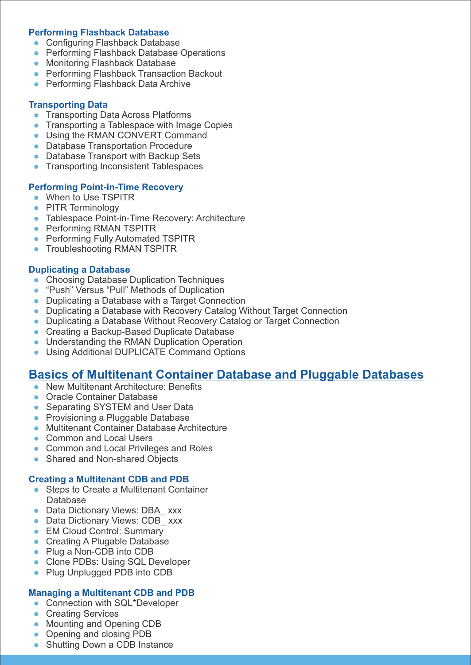### **Performing Flashback Database**

- **Configuring Flashback Database**
- **Performing Flashback Database Operations**
- **Monitoring Flashback Database**
- **Performing Flashback Transaction Backout**
- **Performing Flashback Data Archive**

### **Transporting Data**

- **Transporting Data Across Platforms**
- Transporting a Tablespace with Image Copies
- Using the RMAN CONVERT Command
- **Database Transportation Procedure**
- Database Transport with Backup Sets
- **Transporting Inconsistent Tablespaces**

### **Performing Point-in-Time Recovery**

- When to Use TSPITR
- PITR Terminology
- Tablespace Point-in-Time Recovery: Architecture
- Performing RMAN TSPITR
- **Performing Fully Automated TSPITR**
- **Troubleshooting RMAN TSPITR**

### **Duplicating a Database**

- Choosing Database Duplication Techniques
- "Push" Versus "Pull" Methods of Duplication
- Duplicating a Database with a Target Connection
- Duplicating a Database with Recovery Catalog Without Target Connection
- Duplicating a Database Without Recovery Catalog or Target Connection
- Creating a Backup-Based Duplicate Database
- Understanding the RMAN Duplication Operation
- Using Additional DUPLICATE Command Options

### **Basics of Multitenant Container Database and Pluggable Databases**

- New Multitenant Architecture: Benefits
- Oracle Container Database
- Separating SYSTEM and User Data
- Provisioning a Pluggable Database
- **Multitenant Container Database Architecture**
- Common and Local Users
- **Common and Local Privileges and Roles**
- Shared and Non-shared Objects

### **Creating a Multitenant CDB and PDB**

- Steps to Create a Multitenant Container Database
- Data Dictionary Views: DBA xxx
- Data Dictionary Views: CDB xxx
- **EM Cloud Control: Summary**
- Creating A Plugable Database
- Plug a Non-CDB into CDB
- Clone PDBs: Using SQL Developer
- Plug Unplugged PDB into CDB

### **Managing a Multitenant CDB and PDB**

- **Connection with SQL\*Developer**
- **Creating Services**
- Mounting and Opening CDB
- Opening and closing PDB
- Shutting Down a CDB Instance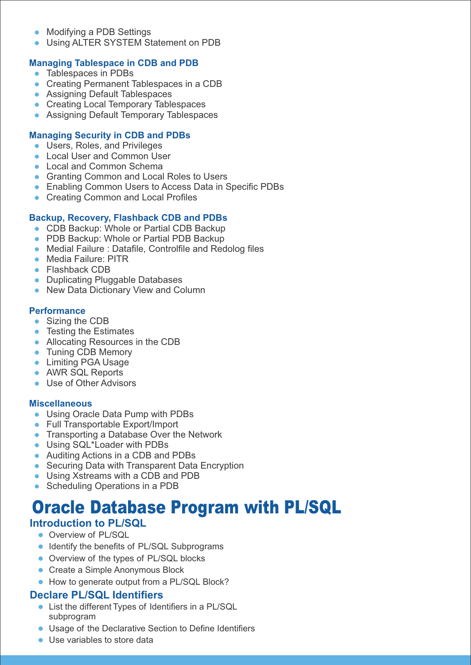- Modifying a PDB Settings
- Using ALTER SYSTEM Statement on PDB

### **Managing Tablespace in CDB and PDB**

- Tablespaces in PDBs
- Creating Permanent Tablespaces in a CDB
- **Assigning Default Tablespaces**
- **Creating Local Temporary Tablespaces**
- **Assigning Default Temporary Tablespaces**

### **Managing Security in CDB and PDBs**

- **Users, Roles, and Privileges**
- **Local User and Common User**
- Local and Common Schema
- **Granting Common and Local Roles to Users**
- **Enabling Common Users to Access Data in Specific PDBs**
- **Creating Common and Local Profiles**

### **Backup, Recovery, Flashback CDB and PDBs**

- CDB Backup: Whole or Partial CDB Backup
- PDB Backup: Whole or Partial PDB Backup
- Medial Failure : Datafile, Controlfile and Redolog files
- Media Failure: PITR
- Flashback CDB
- Duplicating Pluggable Databases
- New Data Dictionary View and Column

### **Performance**

- Sizing the CDB
- Testing the Estimates
- Allocating Resources in the CDB
- Tuning CDB Memory
- **Limiting PGA Usage**
- AWR SQL Reports
- Use of Other Advisors

#### **Miscellaneous**

- Using Oracle Data Pump with PDBs
- Full Transportable Export/Import
- **Transporting a Database Over the Network**
- Using SQL\*Loader with PDBs
- Auditing Actions in a CDB and PDBs
- Securing Data with Transparent Data Encryption
- Using Xstreams with a CDB and PDB
- Scheduling Operations in a PDB

# Oracle Database Program with PL/SQL

### **Introduction to PL/SQL**

- Overview of PL/SQL
- **IDENTIFY THE BENEFITS OF PL/SQL Subprograms**
- **Overview of the types of PL/SQL blocks**
- Create a Simple Anonymous Block
- How to generate output from a PL/SQL Block?

### **Declare PL/SQL Identifiers**

- List the different Types of Identifiers in a PL/SQL subprogram
- Usage of the Declarative Section to Define Identifiers
- Use variables to store data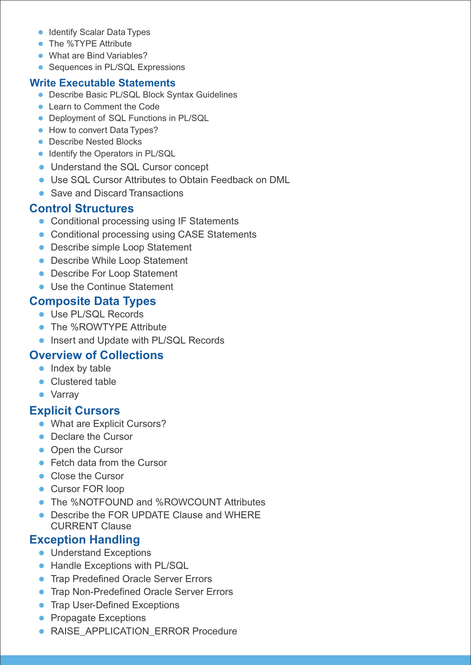- **Identify Scalar Data Types**
- The %TYPE Attribute
- What are Bind Variables?
- Sequences in PL/SQL Expressions

### **Write Executable Statements**

- Describe Basic PL/SQL Block Syntax Guidelines
- Learn to Comment the Code
- **Deployment of SQL Functions in PL/SQL**
- How to convert Data Types?
- **Describe Nested Blocks**
- Identify the Operators in PL/SQL
- Understand the SQL Cursor concept
- Use SQL Cursor Attributes to Obtain Feedback on DML
- Save and Discard Transactions

# **Control Structures**

- **Conditional processing using IF Statements**
- **Conditional processing using CASE Statements**
- **Describe simple Loop Statement**
- **Describe While Loop Statement**
- **Describe For Loop Statement**
- Use the Continue Statement

## **Composite Data Types**

- Use PL/SQL Records
- The %ROWTYPE Attribute
- **Insert and Update with PL/SQL Records**

# **Overview of Collections**

- Index by table
- Clustered table
- Varray

# **Explicit Cursors**

- What are Explicit Cursors?
- Declare the Cursor
- Open the Cursor
- Fetch data from the Cursor
- Close the Cursor
- Cursor FOR loop
- The %NOTFOUND and %ROWCOUNT Attributes
- Describe the FOR UPDATE Clause and WHERE CURRENT Clause

# **Exception Handling**

- **Understand Exceptions**
- Handle Exceptions with PL/SQL
- **Trap Predefined Oracle Server Errors**
- **Trap Non-Predefined Oracle Server Errors**
- **Trap User-Defined Exceptions**
- Propagate Exceptions
- RAISE\_APPLICATION\_ERROR Procedure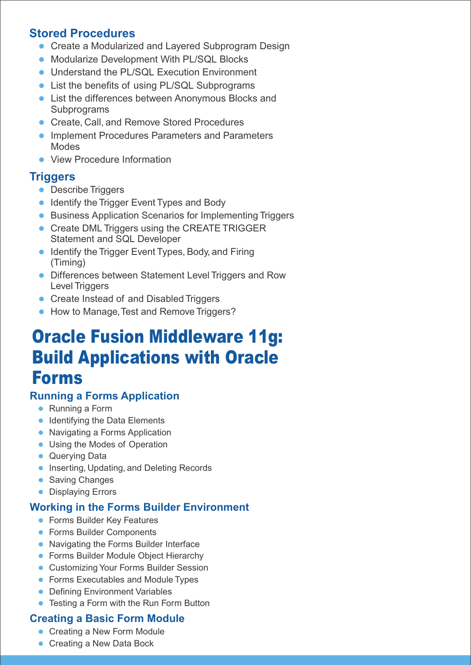# **Stored Procedures**

- **Create a Modularized and Layered Subprogram Design**
- **Modularize Development With PL/SQL Blocks**
- **Understand the PL/SQL Execution Environment**
- List the benefits of using PL/SQL Subprograms
- List the differences between Anonymous Blocks and **Subprograms**
- **Create, Call, and Remove Stored Procedures**
- **Implement Procedures Parameters and Parameters** Modes
- View Procedure Information

# **Triggers**

- **Describe Triggers**
- **Identify the Trigger Event Types and Body**
- **Business Application Scenarios for Implementing Triggers**
- Create DML Triggers using the CREATE TRIGGER Statement and SQL Developer
- **I** Identify the Trigger Event Types, Body, and Firing (Timing)
- Differences between Statement Level Triggers and Row Level Triggers
- **Create Instead of and Disabled Triggers**
- How to Manage, Test and Remove Triggers?

# Oracle Fusion Middleware 11g: Build Applications with Oracle Forms

# **Running a Forms Application**

- Running a Form
- Identifying the Data Elements
- Navigating a Forms Application
- Using the Modes of Operation
- **Querying Data**
- **Inserting, Updating, and Deleting Records**
- **Saving Changes**
- **Displaying Errors**

# **Working in the Forms Builder Environment**

- **•** Forms Builder Key Features
- **•** Forms Builder Components
- Navigating the Forms Builder Interface
- **Forms Builder Module Object Hierarchy**
- Customizing Your Forms Builder Session
- **Forms Executables and Module Types**
- **Defining Environment Variables**
- Testing a Form with the Run Form Button

# **Creating a Basic Form Module**

- Creating a New Form Module
- Creating a New Data Bock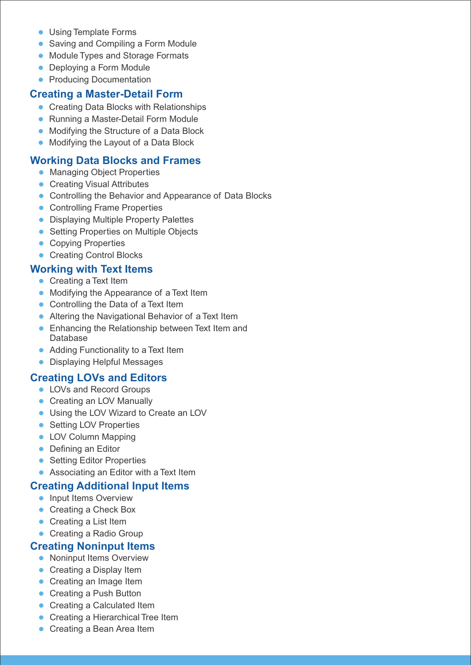- Using Template Forms
- Saving and Compiling a Form Module
- Module Types and Storage Formats
- Deploying a Form Module
- Producing Documentation

### **Creating a Master-Detail Form**

- **Creating Data Blocks with Relationships**
- Running a Master-Detail Form Module
- **Modifying the Structure of a Data Block**
- Modifying the Layout of a Data Block

### **Working Data Blocks and Frames**

- **Managing Object Properties**
- **Creating Visual Attributes**
- **Controlling the Behavior and Appearance of Data Blocks**
- Controlling Frame Properties
- **Displaying Multiple Property Palettes**
- **Setting Properties on Multiple Objects**
- Copying Properties
- Creating Control Blocks

### **Working with Text Items**

- Creating a Text Item
- Modifying the Appearance of a Text Item
- Controlling the Data of a Text Item
- Altering the Navigational Behavior of a Text Item
- **Enhancing the Relationship between Text Item and** Database
- Adding Functionality to a Text Item
- Displaying Helpful Messages

### **Creating LOVs and Editors**

- LOVs and Record Groups
- Creating an LOV Manually
- Using the LOV Wizard to Create an LOV
- Setting LOV Properties
- LOV Column Mapping
- Defining an Editor
- Setting Editor Properties
- Associating an Editor with a Text Item

### **Creating Additional Input Items**

- Input Items Overview
- Creating a Check Box
- Creating a List Item
- Creating a Radio Group

### **Creating Noninput Items**

- Noninput Items Overview
- Creating a Display Item
- Creating an Image Item
- Creating a Push Button
- Creating a Calculated Item
- Creating a Hierarchical Tree Item
- Creating a Bean Area Item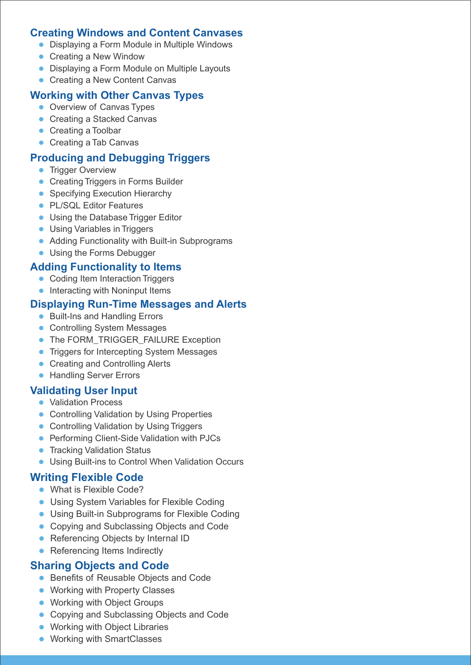### **Creating Windows and Content Canvases**

- Displaying a Form Module in Multiple Windows
- Creating a New Window
- Displaying a Form Module on Multiple Layouts
- Creating a New Content Canvas

### **Working with Other Canvas Types**

- Overview of Canvas Types
- Creating a Stacked Canvas
- Creating a Toolbar
- Creating a Tab Canvas

### **Producing and Debugging Triggers**

- **Trigger Overview**
- **Creating Triggers in Forms Builder**
- Specifying Execution Hierarchy
- PL/SQL Editor Features
- **Using the Database Trigger Editor**
- Using Variables in Triggers
- Adding Functionality with Built-in Subprograms
- Using the Forms Debugger

### **Adding Functionality to Items**

- Coding Item Interaction Triggers
- Interacting with Noninput Items

### **Displaying Run-Time Messages and Alerts**

- Built-Ins and Handling Errors
- **Controlling System Messages**
- The FORM\_TRIGGER\_FAILURE Exception
- **Triggers for Intercepting System Messages**
- Creating and Controlling Alerts
- **Handling Server Errors**

### **Validating User Input**

- Validation Process
- **Controlling Validation by Using Properties**
- **Controlling Validation by Using Triggers**
- **Performing Client-Side Validation with PJCs**
- **•** Tracking Validation Status
- Using Built-ins to Control When Validation Occurs

### **Writing Flexible Code**

- What is Flexible Code?
- Using System Variables for Flexible Coding
- Using Built-in Subprograms for Flexible Coding
- Copying and Subclassing Objects and Code
- Referencing Objects by Internal ID
- Referencing Items Indirectly

### **Sharing Objects and Code**

- **Benefits of Reusable Objects and Code**
- **Working with Property Classes**
- Working with Object Groups
- Copying and Subclassing Objects and Code
- **Working with Object Libraries**
- **Working with SmartClasses**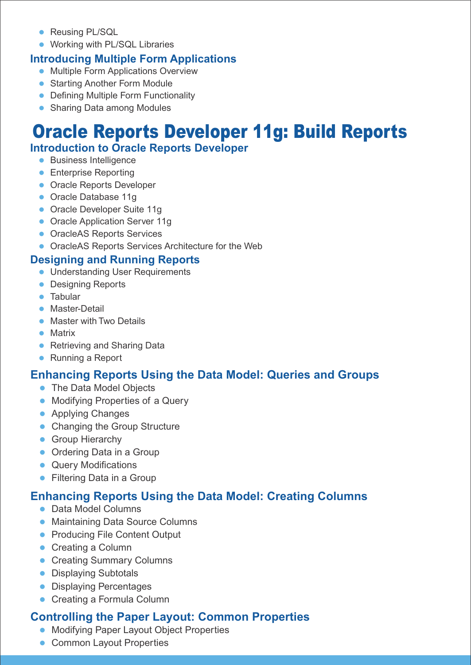- **Reusing PL/SQL**
- **Working with PL/SQL Libraries**

# **Introducing Multiple Form Applications**

- **Multiple Form Applications Overview**
- **Starting Another Form Module**
- **Defining Multiple Form Functionality**
- Sharing Data among Modules

# Oracle Reports Developer 11g: Build Reports

# **Introduction to Oracle Reports Developer**

- **•** Business Intelligence
- **•** Enterprise Reporting
- **Oracle Reports Developer**
- Oracle Database 11g
- Oracle Developer Suite 11g
- Oracle Application Server 11g
- **OracleAS Reports Services**
- **OracleAS Reports Services Architecture for the Web**

# **Designing and Running Reports**

- **Understanding User Requirements**
- **Designing Reports**
- **•** Tabular
- **Master-Detail**
- Master with Two Details
- **•** Matrix
- Retrieving and Sharing Data
- Running a Report

# **Enhancing Reports Using the Data Model: Queries and Groups**

- The Data Model Objects
- **Modifying Properties of a Query**
- **Applying Changes**
- Changing the Group Structure
- **Group Hierarchy**
- Ordering Data in a Group
- Query Modifications
- **•** Filtering Data in a Group

# **Enhancing Reports Using the Data Model: Creating Columns**

- Data Model Columns
- Maintaining Data Source Columns
- **Producing File Content Output**
- Creating a Column
- **Creating Summary Columns**
- **Displaying Subtotals**
- **Displaying Percentages**
- Creating a Formula Column

# **Controlling the Paper Layout: Common Properties**

- **Modifying Paper Layout Object Properties**
- Common Layout Properties